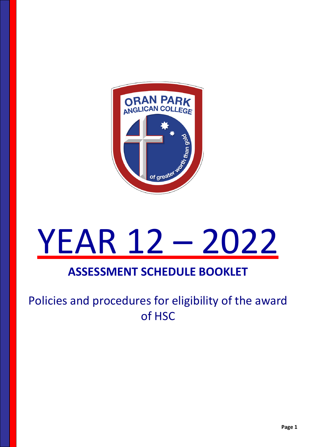

# YEAR 12 – 2022

## **ASSESSMENT SCHEDULE BOOKLET**

## Policies and procedures for eligibility of the award of HSC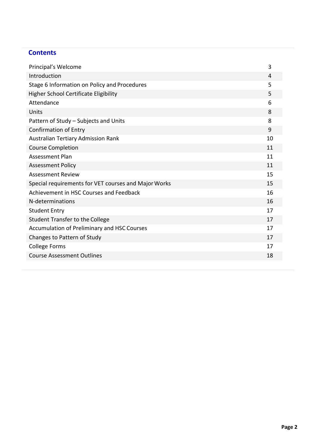#### **Contents**

| Principal's Welcome                                  | 3  |
|------------------------------------------------------|----|
| Introduction                                         | 4  |
| Stage 6 Information on Policy and Procedures         | 5  |
| <b>Higher School Certificate Eligibility</b>         | 5  |
| Attendance                                           | 6  |
| Units                                                | 8  |
| Pattern of Study - Subjects and Units                | 8  |
| <b>Confirmation of Entry</b>                         | 9  |
| Australian Tertiary Admission Rank                   | 10 |
| <b>Course Completion</b>                             | 11 |
| <b>Assessment Plan</b>                               | 11 |
| <b>Assessment Policy</b>                             | 11 |
| <b>Assessment Review</b>                             | 15 |
| Special requirements for VET courses and Major Works | 15 |
| Achievement in HSC Courses and Feedback              | 16 |
| N-determinations                                     | 16 |
| <b>Student Entry</b>                                 | 17 |
| <b>Student Transfer to the College</b>               | 17 |
| Accumulation of Preliminary and HSC Courses          | 17 |
| Changes to Pattern of Study                          | 17 |
| <b>College Forms</b>                                 | 17 |
| <b>Course Assessment Outlines</b>                    | 18 |
|                                                      |    |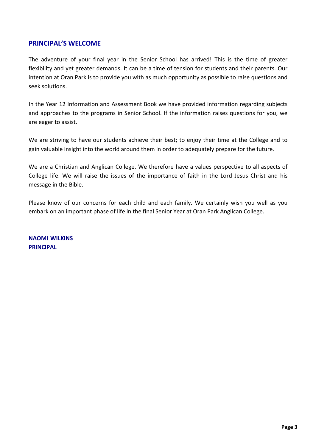#### **PRINCIPAL'S WELCOME**

The adventure of your final year in the Senior School has arrived! This is the time of greater flexibility and yet greater demands. It can be a time of tension for students and their parents. Our intention at Oran Park is to provide you with as much opportunity as possible to raise questions and seek solutions.

In the Year 12 Information and Assessment Book we have provided information regarding subjects and approaches to the programs in Senior School. If the information raises questions for you, we are eager to assist.

We are striving to have our students achieve their best; to enjoy their time at the College and to gain valuable insight into the world around them in order to adequately prepare for the future.

We are a Christian and Anglican College. We therefore have a values perspective to all aspects of College life. We will raise the issues of the importance of faith in the Lord Jesus Christ and his message in the Bible.

Please know of our concerns for each child and each family. We certainly wish you well as you embark on an important phase of life in the final Senior Year at Oran Park Anglican College.

**NAOMI WILKINS PRINCIPAL**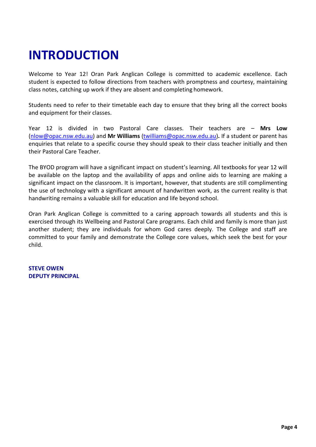# **INTRODUCTION**

Welcome to Year 12! Oran Park Anglican College is committed to academic excellence. Each student is expected to follow directions from teachers with promptness and courtesy, maintaining class notes, catching up work if they are absent and completing homework.

Students need to refer to their timetable each day to ensure that they bring all the correct books and equipment for their classes.

Year 12 is divided in two Pastoral Care classes. Their teachers are – **Mrs Low**  [\(nlow@opac.nsw.edu.au\)](mailto:nlow@opac.nsw.edu.au) and **Mr Williams** [\(twilliams@opac.nsw.edu.au\)](mailto:twilliams@opac.nsw.edu.au)**.** If a student or parent has enquiries that relate to a specific course they should speak to their class teacher initially and then their Pastoral Care Teacher.

The BYOD program will have a significant impact on student's learning. All textbooks for year 12 will be available on the laptop and the availability of apps and online aids to learning are making a significant impact on the classroom. It is important, however, that students are still complimenting the use of technology with a significant amount of handwritten work, as the current reality is that handwriting remains a valuable skill for education and life beyond school.

Oran Park Anglican College is committed to a caring approach towards all students and this is exercised through its Wellbeing and Pastoral Care programs. Each child and family is more than just another student; they are individuals for whom God cares deeply. The College and staff are committed to your family and demonstrate the College core values, which seek the best for your child.

**STEVE OWEN DEPUTY PRINCIPAL**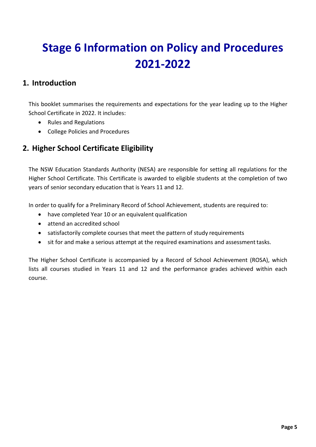# **Stage 6 Information on Policy and Procedures 2021-2022**

#### **1. Introduction**

This booklet summarises the requirements and expectations for the year leading up to the Higher School Certificate in 2022. It includes:

- Rules and Regulations
- College Policies and Procedures

#### **2. Higher School Certificate Eligibility**

The NSW Education Standards Authority (NESA) are responsible for setting all regulations for the Higher School Certificate. This Certificate is awarded to eligible students at the completion of two years of senior secondary education that is Years 11 and 12.

In order to qualify for a Preliminary Record of School Achievement, students are required to:

- have completed Year 10 or an equivalent qualification
- attend an accredited school
- satisfactorily complete courses that meet the pattern of study requirements
- sit for and make a serious attempt at the required examinations and assessment tasks.

The Higher School Certificate is accompanied by a Record of School Achievement (ROSA), which lists all courses studied in Years 11 and 12 and the performance grades achieved within each course.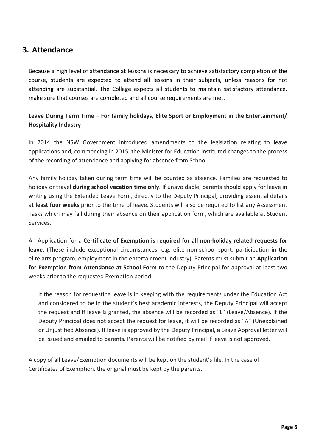#### **3. Attendance**

Because a high level of attendance at lessons is necessary to achieve satisfactory completion of the course, students are expected to attend all lessons in their subjects, unless reasons for not attending are substantial. The College expects all students to maintain satisfactory attendance, make sure that courses are completed and all course requirements are met.

#### **Leave During Term Time – For family holidays, Elite Sport or Employment in the Entertainment/ Hospitality Industry**

In 2014 the NSW Government introduced amendments to the legislation relating to leave applications and, commencing in 2015, the Minister for Education instituted changes to the process of the recording of attendance and applying for absence from School.

Any family holiday taken during term time will be counted as absence. Families are requested to holiday or travel **during school vacation time only**. If unavoidable, parents should apply for leave in writing using the Extended Leave Form, directly to the Deputy Principal, providing essential details at **least four weeks** prior to the time of leave. Students will also be required to list any Assessment Tasks which may fall during their absence on their application form, which are available at Student Services.

An Application for a **Certificate of Exemption is required for all non-holiday related requests for leave**. (These include exceptional circumstances, e.g. elite non-school sport, participation in the elite arts program, employment in the entertainment industry). Parents must submit an **Application for Exemption from Attendance at School Form** to the Deputy Principal for approval at least two weeks prior to the requested Exemption period.

If the reason for requesting leave is in keeping with the requirements under the Education Act and considered to be in the student's best academic interests, the Deputy Principal will accept the request and if leave is granted, the absence will be recorded as "L" (Leave/Absence). If the Deputy Principal does not accept the request for leave, it will be recorded as "A" (Unexplained or Unjustified Absence). If leave is approved by the Deputy Principal, a Leave Approval letter will be issued and emailed to parents. Parents will be notified by mail if leave is not approved.

A copy of all Leave/Exemption documents will be kept on the student's file. In the case of Certificates of Exemption, the original must be kept by the parents.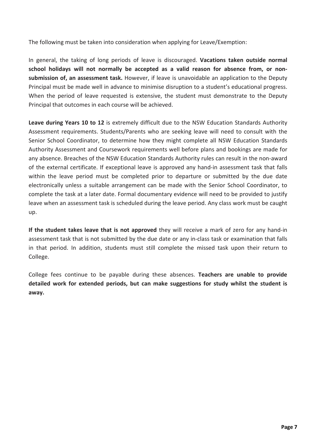The following must be taken into consideration when applying for Leave/Exemption:

In general, the taking of long periods of leave is discouraged. **Vacations taken outside normal school holidays will not normally be accepted as a valid reason for absence from, or nonsubmission of, an assessment task.** However, if leave is unavoidable an application to the Deputy Principal must be made well in advance to minimise disruption to a student's educational progress. When the period of leave requested is extensive, the student must demonstrate to the Deputy Principal that outcomes in each course will be achieved.

**Leave during Years 10 to 12** is extremely difficult due to the NSW Education Standards Authority Assessment requirements. Students/Parents who are seeking leave will need to consult with the Senior School Coordinator, to determine how they might complete all NSW Education Standards Authority Assessment and Coursework requirements well before plans and bookings are made for any absence. Breaches of the NSW Education Standards Authority rules can result in the non-award of the external certificate. If exceptional leave is approved any hand-in assessment task that falls within the leave period must be completed prior to departure or submitted by the due date electronically unless a suitable arrangement can be made with the Senior School Coordinator, to complete the task at a later date. Formal documentary evidence will need to be provided to justify leave when an assessment task is scheduled during the leave period. Any class work must be caught up.

**If the student takes leave that is not approved** they will receive a mark of zero for any hand-in assessment task that is not submitted by the due date or any in-class task or examination that falls in that period. In addition, students must still complete the missed task upon their return to College.

College fees continue to be payable during these absences. **Teachers are unable to provide detailed work for extended periods, but can make suggestions for study whilst the student is away.**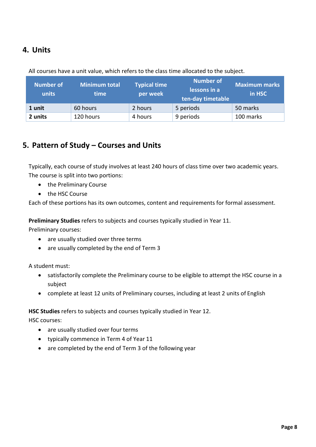#### **4. Units**

| <b>Number of</b><br>units | <b>Minimum total</b><br>time | <b>Typical time</b><br>per week | <b>Number of</b><br>lessons in a<br>ten-day timetable | <b>Maximum marks</b><br>in HSC |
|---------------------------|------------------------------|---------------------------------|-------------------------------------------------------|--------------------------------|
| 1 unit                    | 60 hours                     | 2 hours                         | 5 periods                                             | 50 marks                       |
| 2 units                   | 120 hours                    | 4 hours                         | 9 periods                                             | 100 marks                      |

All courses have a unit value, which refers to the class time allocated to the subject.

#### **5. Pattern of Study – Courses and Units**

Typically, each course of study involves at least 240 hours of class time over two academic years. The course is split into two portions:

- the Preliminary Course
- the HSC Course

Each of these portions has its own outcomes, content and requirements for formal assessment.

**Preliminary Studies** refers to subjects and courses typically studied in Year 11.

Preliminary courses:

- are usually studied over three terms
- are usually completed by the end of Term 3

A student must:

- satisfactorily complete the Preliminary course to be eligible to attempt the HSC course in a subject
- complete at least 12 units of Preliminary courses, including at least 2 units of English

#### **HSC Studies** refers to subjects and courses typically studied in Year 12.

HSC courses:

- are usually studied over four terms
- typically commence in Term 4 of Year 11
- are completed by the end of Term 3 of the following year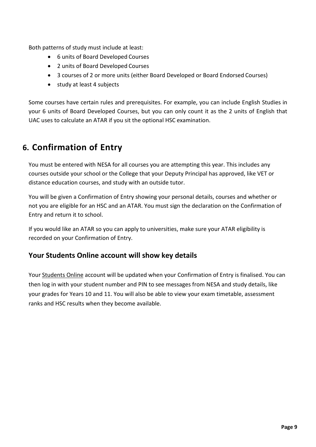Both patterns of study must include at least:

- 6 units of Board Developed Courses
- 2 units of Board Developed Courses
- 3 courses of 2 or more units (either Board Developed or Board Endorsed Courses)
- study at least 4 subjects

Some courses have certain rules and prerequisites. For example, you can include English Studies in your 6 units of Board Developed Courses, but you can only count it as the 2 units of English that UAC uses to calculate an ATAR if you sit the optional HSC examination.

### **6. Confirmation of Entry**

You must be entered with NESA for all courses you are attempting this year. This includes any courses outside your school or the College that your Deputy Principal has approved, like VET or distance education courses, and study with an outside tutor.

You will be given a Confirmation of Entry showing your personal details, courses and whether or not you are eligible for an HSC and an ATAR. You must sign the declaration on the Confirmation of Entry and return it to school.

If you would like an ATAR so you can apply to universities, make sure your ATAR eligibility is recorded on your Confirmation of Entry.

#### **Your Students Online account will show key details**

Your [Students Online](https://studentsonline.nesa.nsw.edu.au/) account will be updated when your Confirmation of Entry is finalised. You can then log in with your student number and PIN to see messages from NESA and study details, like your grades for Years 10 and 11. You will also be able to view your exam timetable, assessment ranks and HSC results when they become available.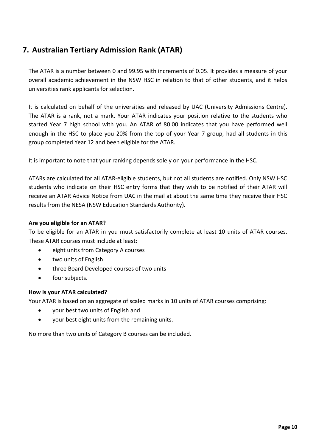#### **7. Australian Tertiary Admission Rank (ATAR)**

The ATAR is a number between 0 and 99.95 with increments of 0.05. It provides a measure of your overall academic achievement in the NSW HSC in relation to that of other students, and it helps universities rank applicants for selection.

It is calculated on behalf of the universities and released by UAC (University Admissions Centre). The ATAR is a rank, not a mark. Your ATAR indicates your position relative to the students who started Year 7 high school with you. An ATAR of 80.00 indicates that you have performed well enough in the HSC to place you 20% from the top of your Year 7 group, had all students in this group completed Year 12 and been eligible for the ATAR.

It is important to note that your ranking depends solely on your performance in the HSC.

ATARs are calculated for all ATAR-eligible students, but not all students are notified. Only NSW HSC students who indicate on their HSC entry forms that they wish to be notified of their ATAR will receive an ATAR Advice Notice from UAC in the mail at about the same time they receive their HSC results from the NESA (NSW Education Standards Authority).

#### **Are you eligible for an ATAR?**

To be eligible for an ATAR in you must satisfactorily complete at least 10 units of ATAR courses. These ATAR courses must include at least:

- eight units from Category A courses
- two units of English
- three Board Developed courses of two units
- four subjects.

#### **How is your ATAR calculated?**

Your ATAR is based on an aggregate of scaled marks in 10 units of ATAR courses comprising:

- your best two units of English and
- your best eight units from the remaining units.

No more than two units of Category B courses can be included.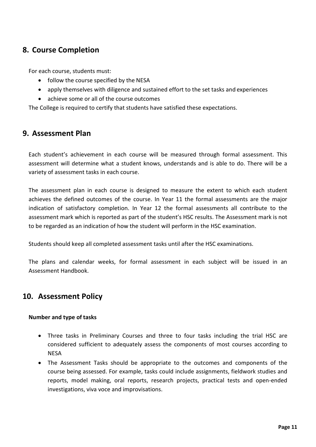#### **8. Course Completion**

For each course, students must:

- follow the course specified by the NESA
- apply themselves with diligence and sustained effort to the set tasks and experiences
- achieve some or all of the course outcomes

The College is required to certify that students have satisfied these expectations.

#### **9. Assessment Plan**

Each student's achievement in each course will be measured through formal assessment. This assessment will determine what a student knows, understands and is able to do. There will be a variety of assessment tasks in each course.

The assessment plan in each course is designed to measure the extent to which each student achieves the defined outcomes of the course. In Year 11 the formal assessments are the major indication of satisfactory completion. In Year 12 the formal assessments all contribute to the assessment mark which is reported as part of the student's HSC results. The Assessment mark is not to be regarded as an indication of how the student will perform in the HSC examination.

Students should keep all completed assessment tasks until after the HSC examinations.

The plans and calendar weeks, for formal assessment in each subject will be issued in an Assessment Handbook.

#### **10. Assessment Policy**

#### **Number and type of tasks**

- Three tasks in Preliminary Courses and three to four tasks including the trial HSC are considered sufficient to adequately assess the components of most courses according to **NESA**
- The Assessment Tasks should be appropriate to the outcomes and components of the course being assessed. For example, tasks could include assignments, fieldwork studies and reports, model making, oral reports, research projects, practical tests and open-ended investigations, viva voce and improvisations.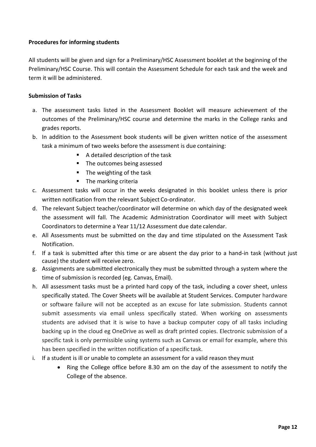#### **Procedures for informing students**

All students will be given and sign for a Preliminary/HSC Assessment booklet at the beginning of the Preliminary/HSC Course. This will contain the Assessment Schedule for each task and the week and term it will be administered.

#### **Submission of Tasks**

- a. The assessment tasks listed in the Assessment Booklet will measure achievement of the outcomes of the Preliminary/HSC course and determine the marks in the College ranks and grades reports.
- b. In addition to the Assessment book students will be given written notice of the assessment task a minimum of two weeks before the assessment is due containing:
	- A detailed description of the task
	- The outcomes being assessed
	- $\blacksquare$  The weighting of the task
	- **The marking criteria**
- c. Assessment tasks will occur in the weeks designated in this booklet unless there is prior written notification from the relevant Subject Co-ordinator.
- d. The relevant Subject teacher/coordinator will determine on which day of the designated week the assessment will fall. The Academic Administration Coordinator will meet with Subject Coordinators to determine a Year 11/12 Assessment due date calendar.
- e. All Assessments must be submitted on the day and time stipulated on the Assessment Task Notification.
- f. If a task is submitted after this time or are absent the day prior to a hand-in task (without just cause) the student will receive zero.
- g. Assignments are submitted electronically they must be submitted through a system where the time of submission is recorded (eg. Canvas, Email).
- h. All assessment tasks must be a printed hard copy of the task, including a cover sheet, unless specifically stated. The Cover Sheets will be available at Student Services. Computer hardware or software failure will not be accepted as an excuse for late submission. Students cannot submit assessments via email unless specifically stated. When working on assessments students are advised that it is wise to have a backup computer copy of all tasks including backing up in the cloud eg OneDrive as well as draft printed copies. Electronic submission of a specific task is only permissible using systems such as Canvas or email for example, where this has been specified in the written notification of a specific task.
- i. If a student is ill or unable to complete an assessment for a valid reason they must
	- Ring the College office before 8.30 am on the day of the assessment to notify the College of the absence.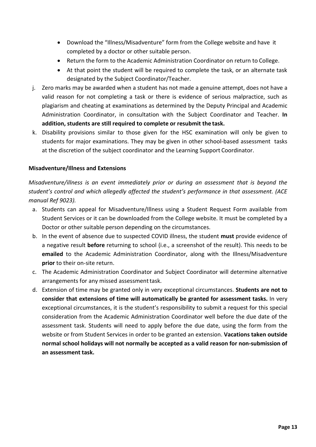- Download the "Illness/Misadventure" form from the College website and have it completed by a doctor or other suitable person.
- Return the form to the Academic Administration Coordinator on return to College.
- At that point the student will be required to complete the task, or an alternate task designated by the Subject Coordinator/Teacher.
- j. Zero marks may be awarded when a student has not made a genuine attempt, does not have a valid reason for not completing a task or there is evidence of serious malpractice, such as plagiarism and cheating at examinations as determined by the Deputy Principal and Academic Administration Coordinator, in consultation with the Subject Coordinator and Teacher. **In addition, students are still required to complete or resubmit the task.**
- k. Disability provisions similar to those given for the HSC examination will only be given to students for major examinations. They may be given in other school-based assessment tasks at the discretion of the subject coordinator and the Learning Support Coordinator.

#### **Misadventure/Illness and Extensions**

*Misadventure/illness is an event immediately prior or during an assessment that is beyond the student's control and which allegedly affected the student's performance in that assessment. (ACE manual Ref 9023).*

- a. Students can appeal for Misadventure/Illness using a Student Request Form available from Student Services or it can be downloaded from the College website. It must be completed by a Doctor or other suitable person depending on the circumstances.
- b. In the event of absence due to suspected COVID illness, the student **must** provide evidence of a negative result **before** returning to school (i.e., a screenshot of the result). This needs to be **emailed** to the Academic Administration Coordinator, along with the Illness/Misadventure **prior** to their on-site return.
- c. The Academic Administration Coordinator and Subject Coordinator will determine alternative arrangements for any missed assessment task.
- d. Extension of time may be granted only in very exceptional circumstances. **Students are not to consider that extensions of time will automatically be granted for assessment tasks.** In very exceptional circumstances, it is the student's responsibility to submit a request for this special consideration from the Academic Administration Coordinator well before the due date of the assessment task. Students will need to apply before the due date, using the form from the website or from Student Services in order to be granted an extension. **Vacations taken outside normal school holidays will not normally be accepted as a valid reason for non-submission of an assessment task.**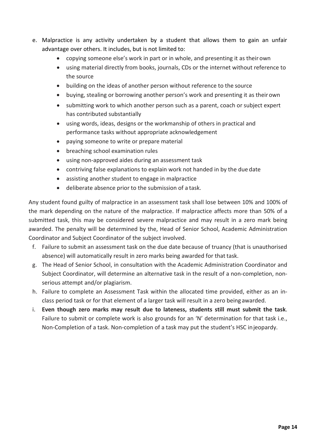- e. Malpractice is any activity undertaken by a student that allows them to gain an unfair advantage over others. It includes, but is not limited to:
	- copying someone else's work in part or in whole, and presenting it as their own
	- using material directly from books, journals, CDs or the internet without reference to the source
	- building on the ideas of another person without reference to the source
	- buying, stealing or borrowing another person's work and presenting it as theirown
	- submitting work to which another person such as a parent, coach or subject expert has contributed substantially
	- using words, ideas, designs or the workmanship of others in practical and performance tasks without appropriate acknowledgement
	- paying someone to write or prepare material
	- breaching school examination rules
	- using non-approved aides during an assessment task
	- contriving false explanations to explain work not handed in by the due date
	- assisting another student to engage in malpractice
	- deliberate absence prior to the submission of a task.

Any student found guilty of malpractice in an assessment task shall lose between 10% and 100% of the mark depending on the nature of the malpractice. If malpractice affects more than 50% of a submitted task, this may be considered severe malpractice and may result in a zero mark being awarded. The penalty will be determined by the, Head of Senior School, Academic Administration Coordinator and Subject Coordinator of the subject involved.

- f. Failure to submit an assessment task on the due date because of truancy (that is unauthorised absence) will automatically result in zero marks being awarded for that task.
- g. The Head of Senior School, in consultation with the Academic Administration Coordinator and Subject Coordinator, will determine an alternative task in the result of a non-completion, nonserious attempt and/or plagiarism.
- h. Failure to complete an Assessment Task within the allocated time provided, either as an inclass period task or for that element of a larger task will result in a zero being awarded.
- i. **Even though zero marks may result due to lateness, students still must submit the task**. Failure to submit or complete work is also grounds for an 'N' determination for that task i.e., Non-Completion of a task. Non-completion of a task may put the student's HSC injeopardy.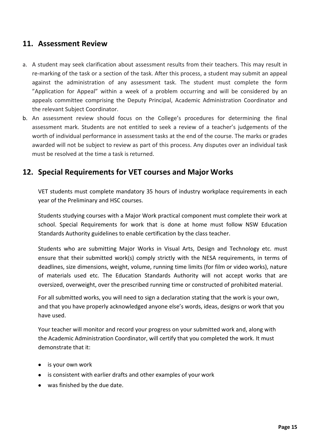#### **11. Assessment Review**

- a. A student may seek clarification about assessment results from their teachers. This may result in re-marking of the task or a section of the task. After this process, a student may submit an appeal against the administration of any assessment task. The student must complete the form "Application for Appeal" within a week of a problem occurring and will be considered by an appeals committee comprising the Deputy Principal, Academic Administration Coordinator and the relevant Subject Coordinator.
- b. An assessment review should focus on the College's procedures for determining the final assessment mark. Students are not entitled to seek a review of a teacher's judgements of the worth of individual performance in assessment tasks at the end of the course. The marks or grades awarded will not be subject to review as part of this process. Any disputes over an individual task must be resolved at the time a task is returned.

#### **12. Special Requirements for VET courses and Major Works**

VET students must complete mandatory 35 hours of industry workplace requirements in each year of the Preliminary and HSC courses.

Students studying courses with a Major Work practical component must complete their work at school. Special Requirements for work that is done at home must follow NSW Education Standards Authority guidelines to enable certification by the class teacher.

Students who are submitting Major Works in Visual Arts, Design and Technology etc. must ensure that their submitted work(s) comply strictly with the NESA requirements, in terms of deadlines, size dimensions, weight, volume, running time limits (for film or video works), nature of materials used etc. The Education Standards Authority will not accept works that are oversized, overweight, over the prescribed running time or constructed of prohibited material.

For all submitted works, you will need to sign a declaration stating that the work is your own, and that you have properly acknowledged anyone else's words, ideas, designs or work that you have used.

Your teacher will monitor and record your progress on your submitted work and, along with the Academic Administration Coordinator, will certify that you completed the work. It must demonstrate that it:

- is your own work
- is consistent with earlier drafts and other examples of your work
- was finished by the due date.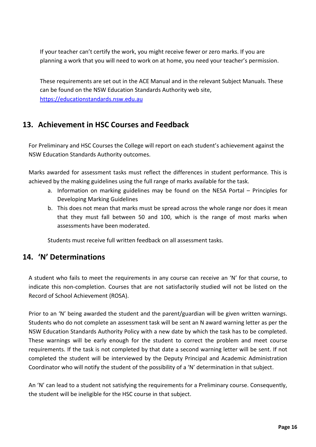If your teacher can't certify the work, you might receive fewer or zero marks. If you are planning a work that you will need to work on at home, you need your teacher's permission.

These requirements are set out in the ACE Manual and in the relevant Subject Manuals. These can be found on the NSW Education Standards Authority web site, [https://educationstandards.nsw.edu.au](https://educationstandards.nsw.edu.au/)

#### **13. Achievement in HSC Courses and Feedback**

For Preliminary and HSC Courses the College will report on each student's achievement against the NSW Education Standards Authority outcomes.

Marks awarded for assessment tasks must reflect the differences in student performance. This is achieved by the making guidelines using the full range of marks available for the task.

- a. Information on marking guidelines may be found on the NESA Portal Principles for Developing Marking Guidelines
- b. This does not mean that marks must be spread across the whole range nor does it mean that they must fall between 50 and 100, which is the range of most marks when assessments have been moderated.

Students must receive full written feedback on all assessment tasks.

#### **14. 'N' Determinations**

A student who fails to meet the requirements in any course can receive an 'N' for that course, to indicate this non-completion. Courses that are not satisfactorily studied will not be listed on the Record of School Achievement (ROSA).

Prior to an 'N' being awarded the student and the parent/guardian will be given written warnings. Students who do not complete an assessment task will be sent an N award warning letter as per the NSW Education Standards Authority Policy with a new date by which the task has to be completed. These warnings will be early enough for the student to correct the problem and meet course requirements. If the task is not completed by that date a second warning letter will be sent. If not completed the student will be interviewed by the Deputy Principal and Academic Administration Coordinator who will notify the student of the possibility of a 'N' determination in that subject.

An 'N' can lead to a student not satisfying the requirements for a Preliminary course. Consequently, the student will be ineligible for the HSC course in that subject.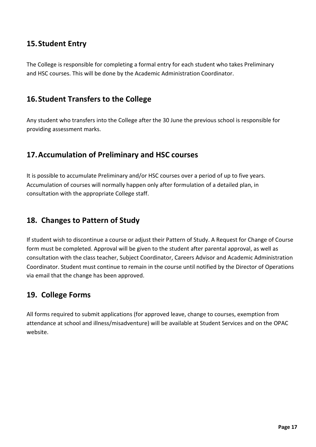#### **15.Student Entry**

The College is responsible for completing a formal entry for each student who takes Preliminary and HSC courses. This will be done by the Academic Administration Coordinator.

#### **16.Student Transfers to the College**

Any student who transfers into the College after the 30 June the previous school is responsible for providing assessment marks.

#### **17.Accumulation of Preliminary and HSC courses**

It is possible to accumulate Preliminary and/or HSC courses over a period of up to five years. Accumulation of courses will normally happen only after formulation of a detailed plan, in consultation with the appropriate College staff.

#### **18. Changes to Pattern of Study**

If student wish to discontinue a course or adjust their Pattern of Study. A Request for Change of Course form must be completed. Approval will be given to the student after parental approval, as well as consultation with the class teacher, Subject Coordinator, Careers Advisor and Academic Administration Coordinator. Student must continue to remain in the course until notified by the Director of Operations via email that the change has been approved.

#### **19. College Forms**

All forms required to submit applications (for approved leave, change to courses, exemption from attendance at school and illness/misadventure) will be available at Student Services and on the OPAC website.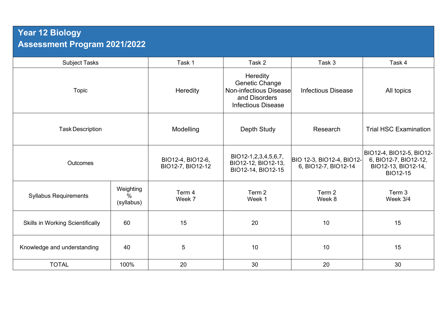## **Year 12 Biology Assessment Program 2021/2022**

| <b>Subject Tasks</b>                    |                                 | Task 1                                 | Task 2                                                                                                                  | Task 3                                            | Task 4                                                                                      |
|-----------------------------------------|---------------------------------|----------------------------------------|-------------------------------------------------------------------------------------------------------------------------|---------------------------------------------------|---------------------------------------------------------------------------------------------|
| <b>Topic</b>                            |                                 | Heredity                               | <b>Heredity</b><br><b>Genetic Change</b><br><b>Non-infectious Disease</b><br>and Disorders<br><b>Infectious Disease</b> | <b>Infectious Disease</b>                         | All topics                                                                                  |
| <b>Task Description</b>                 |                                 | Modelling                              | Depth Study                                                                                                             | Research                                          | <b>Trial HSC Examination</b>                                                                |
| Outcomes                                |                                 | BIO12-4, BIO12-6,<br>BIO12-7, BIO12-12 | BIO12-1, 2, 3, 4, 5, 6, 7,<br>BIO12-12, BIO12-13,<br>BIO12-14, BIO12-15                                                 | BIO 12-3, BIO12-4, BIO12-<br>6, BIO12-7, BIO12-14 | BIO12-4, BIO12-5, BIO12-<br>6, BIO12-7, BIO12-12,<br>BIO12-13, BIO12-14,<br><b>BIO12-15</b> |
| <b>Syllabus Requirements</b>            | Weighting<br>$\%$<br>(syllabus) | Term 4<br>Week 7                       | Term 2<br>Week 1                                                                                                        | Term 2<br>Week 8                                  | Term 3<br>Week 3/4                                                                          |
| <b>Skills in Working Scientifically</b> | 60                              | 15                                     | 20                                                                                                                      | 10                                                | 15                                                                                          |
| Knowledge and understanding             | 40                              | $\sqrt{5}$                             | 10                                                                                                                      | 10                                                | 15                                                                                          |
| <b>TOTAL</b>                            | 100%                            | 20                                     | 30                                                                                                                      | 20                                                | 30                                                                                          |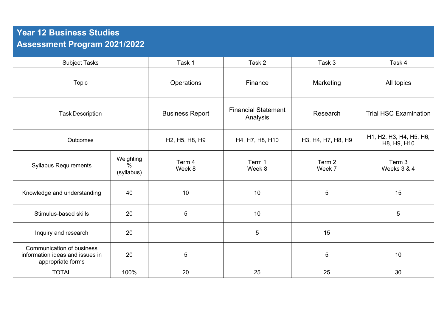## **Year 12 Business Studies Assessment Program 2021/2022**

| <b>Subject Tasks</b>                                                                     |                                          | Task 1                 | Task 2                                 | Task 3             | Task 4                                 |
|------------------------------------------------------------------------------------------|------------------------------------------|------------------------|----------------------------------------|--------------------|----------------------------------------|
| <b>Topic</b>                                                                             |                                          | Operations             | Finance                                | Marketing          | All topics                             |
| <b>Task Description</b>                                                                  |                                          | <b>Business Report</b> | <b>Financial Statement</b><br>Analysis | Research           | <b>Trial HSC Examination</b>           |
| <b>Outcomes</b>                                                                          |                                          | H2, H5, H8, H9         | H4, H7, H8, H10                        | H3, H4, H7, H8, H9 | H1, H2, H3, H4, H5, H6,<br>H8, H9, H10 |
| <b>Syllabus Requirements</b>                                                             | Weighting<br>$\frac{0}{0}$<br>(syllabus) | Term 4<br>Week 8       | Term 1<br>Week 8                       | Term 2<br>Week 7   | Term 3<br>Weeks 3 & 4                  |
| Knowledge and understanding                                                              | 40                                       | 10                     | 10                                     | 5                  | 15                                     |
| Stimulus-based skills                                                                    | 20                                       | 5                      | 10                                     |                    | 5                                      |
| Inquiry and research                                                                     | 20                                       |                        | 5                                      | 15                 |                                        |
| <b>Communication of business</b><br>information ideas and issues in<br>appropriate forms | 20                                       | 5                      |                                        | 5                  | 10                                     |
| <b>TOTAL</b>                                                                             | 100%                                     | 20                     | 25                                     | 25                 | 30                                     |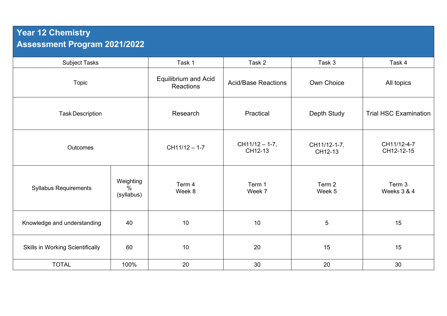## **Year 12 Chemistry Assessment Program 2021/2022**

| <b>Subject Tasks</b>                    |                                 | Task 1                                   | Task 2                       | Task 3                  | Task 4                       |
|-----------------------------------------|---------------------------------|------------------------------------------|------------------------------|-------------------------|------------------------------|
| Topic                                   |                                 | <b>Equilibrium and Acid</b><br>Reactions | <b>Acid/Base Reactions</b>   | Own Choice              | All topics                   |
| <b>Task Description</b>                 |                                 | Research                                 | Practical                    | Depth Study             | <b>Trial HSC Examination</b> |
| Outcomes                                |                                 | $CH11/12 - 1-7$                          | $CH11/12 - 1-7$ ,<br>CH12-13 | CH11/12-1-7,<br>CH12-13 | CH11/12-4-7<br>CH12-12-15    |
| <b>Syllabus Requirements</b>            | Weighting<br>$\%$<br>(syllabus) | Term 4<br>Week 8                         | Term 1<br>Week 7             | Term 2<br>Week 5        | Term 3<br>Weeks 3 & 4        |
| Knowledge and understanding             | 40                              | 10                                       | 10                           | $\sqrt{5}$              | 15                           |
| <b>Skills in Working Scientifically</b> | 60                              | 10                                       | 20                           | 15                      | 15                           |
| <b>TOTAL</b>                            | 100%                            | 20                                       | 30                           | 20                      | 30                           |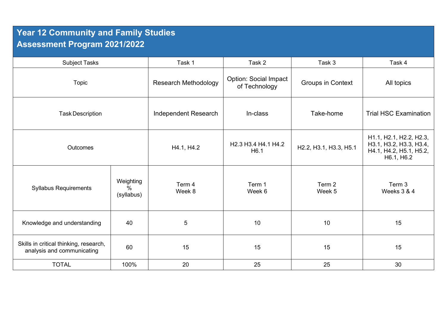## **Year 12 Community and Family Studies Assessment Program 2021/2022**

| <b>Subject Tasks</b>                                                 |                                 | Task 1                      | Task 2                                                                                      | Task 3                   | Task 4                                                                                      |
|----------------------------------------------------------------------|---------------------------------|-----------------------------|---------------------------------------------------------------------------------------------|--------------------------|---------------------------------------------------------------------------------------------|
| <b>Topic</b>                                                         |                                 | <b>Research Methodology</b> | <b>Option: Social Impact</b><br>of Technology                                               | <b>Groups in Context</b> | All topics                                                                                  |
| <b>Task Description</b>                                              |                                 | Independent Research        | In-class                                                                                    | Take-home                | <b>Trial HSC Examination</b>                                                                |
| <b>Outcomes</b>                                                      |                                 | H4.1, H4.2                  | H <sub>2</sub> .3 H <sub>3</sub> .4 H <sub>4</sub> .1 H <sub>4</sub> .2<br>H <sub>6.1</sub> | H2.2, H3.1, H3.3, H5.1   | H1.1, H2.1, H2.2, H2.3,<br>H3.1, H3.2, H3.3, H3.4,<br>H4.1, H4.2, H5.1, H5.2,<br>H6.1, H6.2 |
| <b>Syllabus Requirements</b>                                         | Weighting<br>$\%$<br>(syllabus) | Term 4<br>Week 8            | Term 1<br>Week 6                                                                            | Term 2<br>Week 5         | Term 3<br>Weeks 3 & 4                                                                       |
| Knowledge and understanding                                          | 40                              | 5                           | 10                                                                                          | 10                       | 15                                                                                          |
| Skills in critical thinking, research,<br>analysis and communicating | 60                              | 15                          | 15                                                                                          | 15                       | 15                                                                                          |
| <b>TOTAL</b>                                                         | 100%                            | 20                          | 25                                                                                          | 25                       | 30                                                                                          |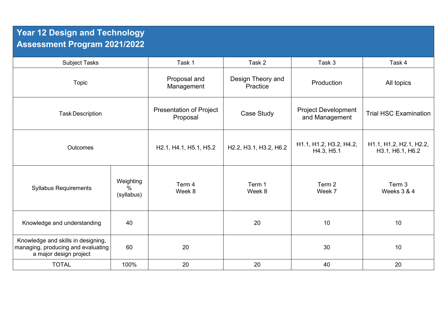## **Year 12 Design and Technology Assessment Program 2021/2022**

| <b>Subject Tasks</b>                                                                               |                                 | Task 1                                                                    | Task 2                                                                    | Task 3                                       | Task 4                                      |
|----------------------------------------------------------------------------------------------------|---------------------------------|---------------------------------------------------------------------------|---------------------------------------------------------------------------|----------------------------------------------|---------------------------------------------|
| <b>Topic</b>                                                                                       |                                 | Proposal and<br>Management                                                | Design Theory and<br>Practice                                             | Production                                   | All topics                                  |
| <b>Task Description</b>                                                                            |                                 | <b>Presentation of Project</b><br>Proposal                                | Case Study                                                                | <b>Project Development</b><br>and Management | <b>Trial HSC Examination</b>                |
| <b>Outcomes</b>                                                                                    |                                 | H <sub>2.1</sub> , H <sub>4.1</sub> , H <sub>5.1</sub> , H <sub>5.2</sub> | H <sub>2.2</sub> , H <sub>3.1</sub> , H <sub>3.2</sub> , H <sub>6.2</sub> | H1.1, H1.2, H3.2, H4.2,<br>H4.3, H5.1        | H1.1, H1.2, H2.1, H2.2,<br>H3.1, H6.1, H6.2 |
| <b>Syllabus Requirements</b>                                                                       | Weighting<br>$\%$<br>(syllabus) | Term 4<br>Week 8                                                          | Term 1<br>Week 8                                                          | Term 2<br>Week 7                             | Term 3<br>Weeks 3 & 4                       |
| Knowledge and understanding                                                                        | 40                              |                                                                           | 20                                                                        | 10                                           | 10                                          |
| Knowledge and skills in designing,<br>managing, producing and evaluating<br>a major design project | 60                              | 20                                                                        |                                                                           | 30                                           | 10                                          |
| <b>TOTAL</b>                                                                                       | 100%                            | 20                                                                        | 20                                                                        | 40                                           | 20                                          |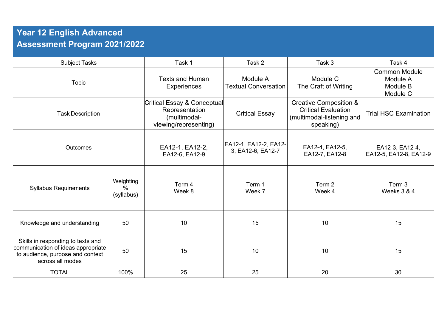## **Year 12 English Advanced Assessment Program 2021/2022**

| <b>Subject Tasks</b>                                                                                                            |                              | Task 1                                                                                 | Task 2                                     | Task 3                                                                                                    | Task 4                                                   |
|---------------------------------------------------------------------------------------------------------------------------------|------------------------------|----------------------------------------------------------------------------------------|--------------------------------------------|-----------------------------------------------------------------------------------------------------------|----------------------------------------------------------|
| <b>Topic</b>                                                                                                                    |                              | <b>Texts and Human</b><br><b>Experiences</b>                                           | Module A<br><b>Textual Conversation</b>    | Module C<br>The Craft of Writing                                                                          | <b>Common Module</b><br>Module A<br>Module B<br>Module C |
| <b>Task Description</b>                                                                                                         |                              | Critical Essay & Conceptual<br>Representation<br>(multimodal-<br>viewing/representing) | <b>Critical Essay</b>                      | <b>Creative Composition &amp;</b><br><b>Critical Evaluation</b><br>(multimodal-listening and<br>speaking) | <b>Trial HSC Examination</b>                             |
| <b>Outcomes</b>                                                                                                                 |                              | EA12-1, EA12-2,<br>EA12-6, EA12-9                                                      | EA12-1, EA12-2, EA12-<br>3, EA12-6, EA12-7 | EA12-4, EA12-5,<br>EA12-7, EA12-8                                                                         | EA12-3, EA12-4,<br>EA12-5, EA12-8, EA12-9                |
| <b>Syllabus Requirements</b>                                                                                                    | Weighting<br>%<br>(syllabus) | Term 4<br>Week 8                                                                       | Term 1<br>Week 7                           | Term 2<br>Week 4                                                                                          | Term 3<br>Weeks 3 & 4                                    |
| Knowledge and understanding                                                                                                     | 50                           | 10                                                                                     | 15                                         | 10                                                                                                        | 15                                                       |
| Skills in responding to texts and<br>communication of ideas appropriate<br>to audience, purpose and context<br>across all modes | 50                           | 15                                                                                     | 10                                         | 10                                                                                                        | 15                                                       |
| <b>TOTAL</b>                                                                                                                    | 100%                         | 25                                                                                     | 25                                         | 20                                                                                                        | 30                                                       |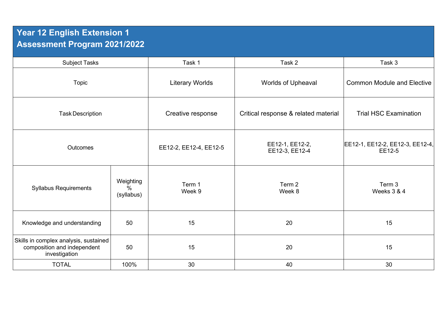## **Year 12 English Extension 1 Assessment Program 2021/2022**

| <b>Subject Tasks</b>                                                                  |                                 | Task 1                                       | Task 2                               | Task 3                                    |
|---------------------------------------------------------------------------------------|---------------------------------|----------------------------------------------|--------------------------------------|-------------------------------------------|
| Topic                                                                                 |                                 | <b>Literary Worlds</b><br>Worlds of Upheaval |                                      | <b>Common Module and Elective</b>         |
| <b>Task Description</b>                                                               |                                 | Creative response                            | Critical response & related material | <b>Trial HSC Examination</b>              |
| <b>Outcomes</b>                                                                       |                                 | EE12-2, EE12-4, EE12-5                       | EE12-1, EE12-2,<br>EE12-3, EE12-4    | EE12-1, EE12-2, EE12-3, EE12-4,<br>EE12-5 |
| <b>Syllabus Requirements</b>                                                          | Weighting<br>$\%$<br>(syllabus) | Term 1<br>Week 9                             | Term 2<br>Week 8                     | Term 3<br>Weeks 3 & 4                     |
| Knowledge and understanding                                                           | 50                              | 15                                           | 20                                   | 15                                        |
| Skills in complex analysis, sustained<br>composition and independent<br>investigation | 50                              | 15                                           | 20                                   | 15                                        |
| <b>TOTAL</b>                                                                          | 100%                            | 30                                           | 40                                   | 30                                        |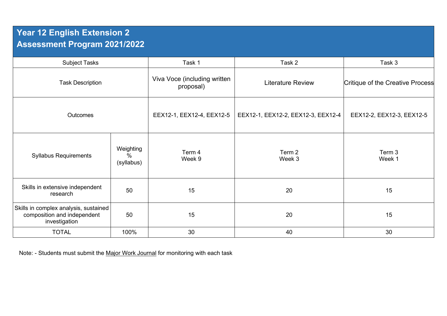## **Year 12 English Extension 2 Assessment Program 2021/2022**

| <b>Subject Tasks</b>                                                                  |                              | Task 1                                    | Task 2                             | Task 3                           |
|---------------------------------------------------------------------------------------|------------------------------|-------------------------------------------|------------------------------------|----------------------------------|
| <b>Task Description</b>                                                               |                              | Viva Voce (including written<br>proposal) | <b>Literature Review</b>           | Critique of the Creative Process |
| Outcomes                                                                              |                              | EEX12-1, EEX12-4, EEX12-5                 | EEX12-1, EEX12-2, EEX12-3, EEX12-4 | EEX12-2, EEX12-3, EEX12-5        |
| <b>Syllabus Requirements</b>                                                          | Weighting<br>%<br>(syllabus) | Term 4<br>Week 9                          | Term 2<br>Week 3                   | Term 3<br>Week 1                 |
| Skills in extensive independent<br>research                                           | 50                           | 15                                        | 20                                 | 15                               |
| Skills in complex analysis, sustained<br>composition and independent<br>investigation | 50                           | 15                                        | 20                                 | 15                               |
| <b>TOTAL</b>                                                                          | 100%                         | 30                                        | 40                                 | 30                               |

Note: - Students must submit the Major Work Journal for monitoring with each task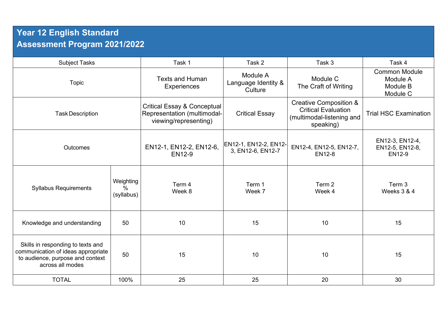## **Year 12 English Standard Assessment Program 2021/2022**

| <b>Subject Tasks</b>                                                                                                            |                                 | Task 1                                                                                         | Task 2                                     | Task 3                                                                                                    | Task 4                                                   |
|---------------------------------------------------------------------------------------------------------------------------------|---------------------------------|------------------------------------------------------------------------------------------------|--------------------------------------------|-----------------------------------------------------------------------------------------------------------|----------------------------------------------------------|
| <b>Topic</b>                                                                                                                    |                                 | <b>Texts and Human</b><br><b>Experiences</b>                                                   | Module A<br>Language Identity &<br>Culture | Module C<br>The Craft of Writing                                                                          | <b>Common Module</b><br>Module A<br>Module B<br>Module C |
| <b>Task Description</b>                                                                                                         |                                 | <b>Critical Essay &amp; Conceptual</b><br>Representation (multimodal-<br>viewing/representing) | <b>Critical Essay</b>                      | <b>Creative Composition &amp;</b><br><b>Critical Evaluation</b><br>(multimodal-listening and<br>speaking) | <b>Trial HSC Examination</b>                             |
| <b>Outcomes</b>                                                                                                                 |                                 | EN12-1, EN12-2, EN12-6,<br>EN12-9                                                              | EN12-1, EN12-2, EN12-<br>3, EN12-6, EN12-7 | EN12-4, EN12-5, EN12-7,<br><b>EN12-8</b>                                                                  | EN12-3, EN12-4,<br>EN12-5, EN12-8,<br>EN12-9             |
| <b>Syllabus Requirements</b>                                                                                                    | Weighting<br>$\%$<br>(syllabus) | Term 4<br>Week 8                                                                               | Term 1<br>Week 7                           | Term 2<br>Week 4                                                                                          | Term 3<br>Weeks 3 & 4                                    |
| Knowledge and understanding                                                                                                     | 50                              | 10                                                                                             | 15                                         | 10                                                                                                        | 15                                                       |
| Skills in responding to texts and<br>communication of ideas appropriate<br>to audience, purpose and context<br>across all modes | 50                              | 15                                                                                             | 10                                         | 10                                                                                                        | 15                                                       |
| <b>TOTAL</b>                                                                                                                    | 100%                            | 25                                                                                             | 25                                         | 20                                                                                                        | 30                                                       |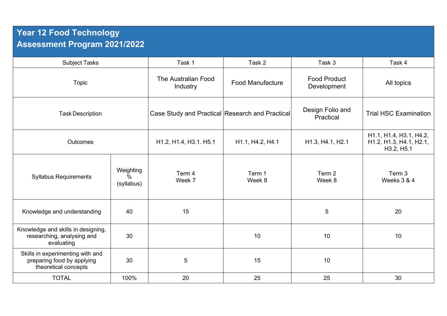## **Year 12 Food Technology Assessment Program 2021/2022**

| <b>Subject Tasks</b>                                                                   |                                 | Task 1                                          | Task 2                  | Task 3                             | Task 4                                                           |
|----------------------------------------------------------------------------------------|---------------------------------|-------------------------------------------------|-------------------------|------------------------------------|------------------------------------------------------------------|
| Topic                                                                                  |                                 | The Australian Food<br>Industry                 | <b>Food Manufacture</b> | <b>Food Product</b><br>Development | All topics                                                       |
| <b>Task Description</b>                                                                |                                 | Case Study and Practical Research and Practical |                         | Design Folio and<br>Practical      | <b>Trial HSC Examination</b>                                     |
| <b>Outcomes</b>                                                                        |                                 | H1.2, H1.4, H3.1. H5.1                          | H1.1, H4.2, H4.1        | H1.3, H4.1, H2.1                   | H1.1, H1.4, H3.1, H4.2,<br>H1.2, H1.3, H4.1, H2.1,<br>H3.2, H5.1 |
| <b>Syllabus Requirements</b>                                                           | Weighting<br>$\%$<br>(syllabus) | Term 4<br>Week 7                                | Term 1<br>Week 8        | Term 2<br>Week 8                   | Term 3<br>Weeks 3 & 4                                            |
| Knowledge and understanding                                                            | 40                              | 15                                              |                         | 5                                  | 20                                                               |
| Knowledge and skills in designing,<br>researching, analysing and<br>evaluating         | 30                              |                                                 | 10                      | 10                                 | 10                                                               |
| Skills in experimenting with and<br>preparing food by applying<br>theoretical concepts | 30                              | $\overline{5}$                                  | 15                      | 10                                 |                                                                  |
| <b>TOTAL</b>                                                                           | 100%                            | 20                                              | 25                      | 25                                 | 30                                                               |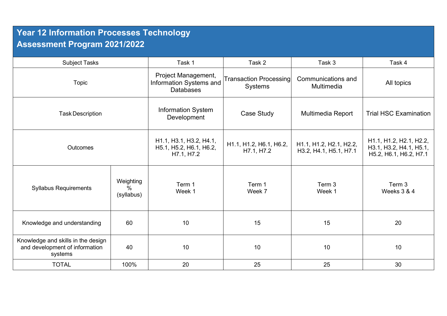## **Year 12 Information Processes Technology Assessment Program 2021/2022**

| <b>Subject Tasks</b>                                                            |                                          | Task 1                                                             | Task 2                                | Task 3                                            | Task 4                                                                       |
|---------------------------------------------------------------------------------|------------------------------------------|--------------------------------------------------------------------|---------------------------------------|---------------------------------------------------|------------------------------------------------------------------------------|
| Topic                                                                           |                                          | Project Management,<br>Information Systems and<br><b>Databases</b> | Transaction Processing<br>Systems     | Communications and<br>Multimedia                  | All topics                                                                   |
| <b>Task Description</b>                                                         |                                          | <b>Information System</b><br>Development                           | Case Study                            | Multimedia Report                                 | <b>Trial HSC Examination</b>                                                 |
| Outcomes                                                                        |                                          | H1.1, H3.1, H3.2, H4.1,<br>H5.1, H5.2, H6.1, H6.2,<br>H7.1, H7.2   | H1.1, H1.2, H6.1, H6.2,<br>H7.1, H7.2 | H1.1, H1.2, H2.1, H2.2,<br>H3.2, H4.1, H5.1, H7.1 | H1.1, H1.2, H2.1, H2.2,<br>H3.1, H3.2, H4.1, H5.1,<br>H5.2, H6.1, H6.2, H7.1 |
| <b>Syllabus Requirements</b>                                                    | Weighting<br>$\frac{0}{0}$<br>(syllabus) | Term 1<br>Week 1                                                   | Term 1<br>Week 7                      | Term 3<br>Week 1                                  | Term 3<br>Weeks 3 & 4                                                        |
| Knowledge and understanding                                                     | 60                                       | 10                                                                 | 15                                    | 15                                                | 20                                                                           |
| Knowledge and skills in the design<br>and development of information<br>systems | 40                                       | 10                                                                 | 10                                    | 10                                                | 10                                                                           |
| <b>TOTAL</b>                                                                    | 100%                                     | 20                                                                 | 25                                    | 25                                                | 30                                                                           |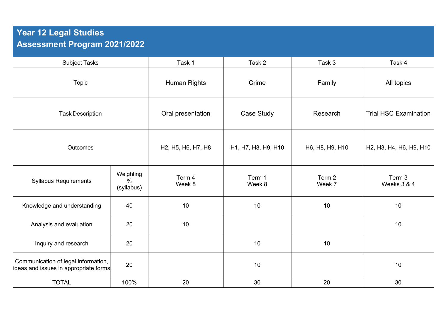## **Year 12 Legal Studies Assessment Program 2021/2022**

| <b>Subject Tasks</b>                                                         |                                 | Task 1              | Task 2              | Task 3           | Task 4                                                                                               |
|------------------------------------------------------------------------------|---------------------------------|---------------------|---------------------|------------------|------------------------------------------------------------------------------------------------------|
| <b>Topic</b>                                                                 |                                 | <b>Human Rights</b> | Crime               | Family           | All topics                                                                                           |
| <b>Task Description</b>                                                      |                                 | Oral presentation   | Case Study          | Research         | <b>Trial HSC Examination</b>                                                                         |
| Outcomes                                                                     |                                 | H2, H5, H6, H7, H8  | H1, H7, H8, H9, H10 | H6, H8, H9, H10  | H <sub>2</sub> , H <sub>3</sub> , H <sub>4</sub> , H <sub>6</sub> , H <sub>9</sub> , H <sub>10</sub> |
| <b>Syllabus Requirements</b>                                                 | Weighting<br>$\%$<br>(syllabus) | Term 4<br>Week 8    | Term 1<br>Week 8    | Term 2<br>Week 7 | Term 3<br>Weeks 3 & 4                                                                                |
| Knowledge and understanding                                                  | 40                              | 10                  | 10                  | 10               | 10                                                                                                   |
| Analysis and evaluation                                                      | 20                              | 10                  |                     |                  | 10                                                                                                   |
| Inquiry and research                                                         | 20                              |                     | 10                  | $10$             |                                                                                                      |
| Communication of legal information,<br>ideas and issues in appropriate forms | 20                              |                     | 10                  |                  | 10                                                                                                   |
| <b>TOTAL</b>                                                                 | 100%                            | 20                  | 30                  | 20               | 30                                                                                                   |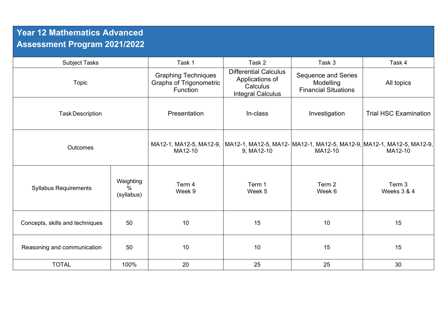## **Year 12 Mathematics Advanced Assessment Program 2021/2022**

| <b>Subject Tasks</b>            |                                 | Task 1                                                                   | Task 2                                                                                  | Task 3                                                                 | Task 4                                                                             |
|---------------------------------|---------------------------------|--------------------------------------------------------------------------|-----------------------------------------------------------------------------------------|------------------------------------------------------------------------|------------------------------------------------------------------------------------|
| Topic                           |                                 | <b>Graphing Techniques</b><br><b>Graphs of Trigonometric</b><br>Function | <b>Differential Calculus</b><br>Applications of<br>Calculus<br><b>Integral Calculus</b> | <b>Sequence and Series</b><br>Modelling<br><b>Financial Situations</b> | All topics                                                                         |
| <b>Task Description</b>         |                                 | Presentation                                                             | In-class                                                                                | Investigation                                                          | <b>Trial HSC Examination</b>                                                       |
| <b>Outcomes</b>                 |                                 | MA12-1, MA12-5, MA12-9,<br>MA12-10                                       | 9, MA12-10                                                                              | MA12-10                                                                | MA12-1, MA12-5, MA12-  MA12-1, MA12-5, MA12-9,  MA12-1, MA12-5, MA12-9,<br>MA12-10 |
| <b>Syllabus Requirements</b>    | Weighting<br>$\%$<br>(syllabus) | Term 4<br>Week 9                                                         | Term 1<br>Week 5                                                                        | Term 2<br>Week 6                                                       | Term 3<br>Weeks 3 & 4                                                              |
| Concepts, skills and techniques | 50                              | 10                                                                       | 15                                                                                      | 10                                                                     | 15                                                                                 |
| Reasoning and communication     | 50                              | 10                                                                       | 10                                                                                      | 15                                                                     | 15                                                                                 |
| <b>TOTAL</b>                    | 100%                            | 20                                                                       | 25                                                                                      | 25                                                                     | 30                                                                                 |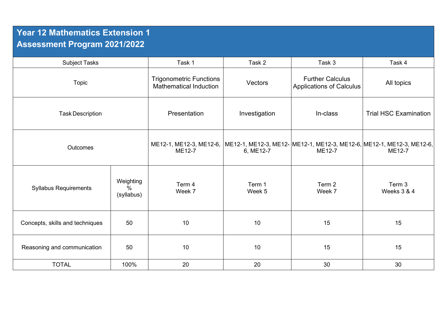## **Year 12 Mathematics Extension 1 Assessment Program 2021/2022**

| <b>Subject Tasks</b>            |                                 | Task 1                                                                                                    | Task 2           | Task 3                                                     | Task 4                       |
|---------------------------------|---------------------------------|-----------------------------------------------------------------------------------------------------------|------------------|------------------------------------------------------------|------------------------------|
| <b>Topic</b>                    |                                 | <b>Trigonometric Functions</b><br><b>Mathematical Induction</b>                                           | Vectors          | <b>Further Calculus</b><br><b>Applications of Calculus</b> | All topics                   |
| <b>Task Description</b>         |                                 | Presentation                                                                                              | Investigation    | In-class                                                   | <b>Trial HSC Examination</b> |
| Outcomes                        |                                 | ME12-1, ME12-3, ME12-6,  ME12-1, ME12-3, ME12-  ME12-1, ME12-3, ME12-6, ME12-1, ME12-3, ME12-6,<br>ME12-7 | 6, ME12-7        | ME12-7                                                     | ME12-7                       |
| <b>Syllabus Requirements</b>    | Weighting<br>$\%$<br>(syllabus) | Term 4<br>Week 7                                                                                          | Term 1<br>Week 5 | Term 2<br>Week 7                                           | Term 3<br>Weeks 3 & 4        |
| Concepts, skills and techniques | 50                              | 10                                                                                                        | 10               | 15                                                         | 15                           |
| Reasoning and communication     | 50                              | 10                                                                                                        | 10               | 15                                                         | 15                           |
| <b>TOTAL</b>                    | 100%                            | 20                                                                                                        | 20               | 30                                                         | 30                           |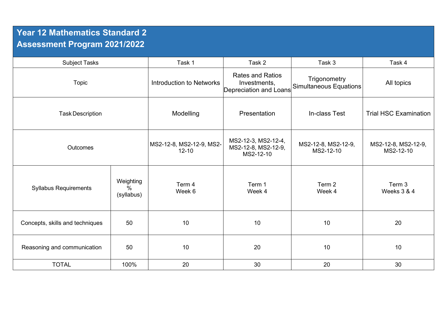## **Year 12 Mathematics Standard 2 Assessment Program 2021/2022**

| <b>Subject Tasks</b>            |                                 | Task 1                                | Task 2                                                            | Task 3                                        | Task 4                           |
|---------------------------------|---------------------------------|---------------------------------------|-------------------------------------------------------------------|-----------------------------------------------|----------------------------------|
| <b>Topic</b>                    |                                 | Introduction to Networks              | <b>Rates and Ratios</b><br>Investments,<br>Depreciation and Loans | Trigonometry<br><b>Simultaneous Equations</b> | All topics                       |
| <b>Task Description</b>         |                                 | Modelling                             | Presentation                                                      | In-class Test                                 | <b>Trial HSC Examination</b>     |
| <b>Outcomes</b>                 |                                 | MS2-12-8, MS2-12-9, MS2-<br>$12 - 10$ | MS2-12-3, MS2-12-4,<br>MS2-12-8, MS2-12-9,<br>MS2-12-10           | MS2-12-8, MS2-12-9,<br>MS2-12-10              | MS2-12-8, MS2-12-9,<br>MS2-12-10 |
| <b>Syllabus Requirements</b>    | Weighting<br>$\%$<br>(syllabus) | Term 4<br>Week 6                      | Term 1<br>Week 4                                                  | Term 2<br>Week 4                              | Term 3<br>Weeks 3 & 4            |
| Concepts, skills and techniques | 50                              | 10                                    | 10                                                                | 10                                            | 20                               |
| Reasoning and communication     | 50                              | 10                                    | 20                                                                | 10                                            | 10                               |
| <b>TOTAL</b>                    | 100%                            | 20                                    | 30                                                                | 20                                            | 30                               |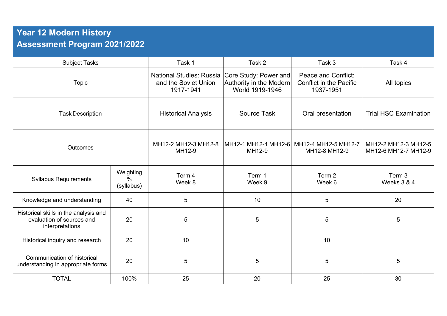## **Year 12 Modern History Assessment Program 2021/2022**

| <b>Subject Tasks</b>                                                                  |                                          | Task 1                                                               | Task 2                                                              | Task 3                                                                    | Task 4                                       |
|---------------------------------------------------------------------------------------|------------------------------------------|----------------------------------------------------------------------|---------------------------------------------------------------------|---------------------------------------------------------------------------|----------------------------------------------|
| <b>Topic</b>                                                                          |                                          | <b>National Studies: Russia</b><br>and the Soviet Union<br>1917-1941 | Core Study: Power and<br>Authority in the Modern<br>World 1919-1946 | <b>Peace and Conflict:</b><br><b>Conflict in the Pacific</b><br>1937-1951 | All topics                                   |
| <b>Task Description</b>                                                               |                                          | <b>Historical Analysis</b>                                           | <b>Source Task</b>                                                  | Oral presentation                                                         | <b>Trial HSC Examination</b>                 |
| <b>Outcomes</b>                                                                       |                                          | MH12-2 MH12-3 MH12-8<br>MH12-9                                       | MH12-1 MH12-4 MH12-6<br>MH12-9                                      | MH12-4 MH12-5 MH12-7<br>MH12-8 MH12-9                                     | MH12-2 MH12-3 MH12-5<br>MH12-6 MH12-7 MH12-9 |
| <b>Syllabus Requirements</b>                                                          | Weighting<br>$\frac{0}{0}$<br>(syllabus) | Term 4<br>Week 8                                                     | Term 1<br>Week 9                                                    | Term 2<br>Week 6                                                          | Term 3<br>Weeks 3 & 4                        |
| Knowledge and understanding                                                           | 40                                       | 5                                                                    | 10                                                                  | 5                                                                         | 20                                           |
| Historical skills in the analysis and<br>evaluation of sources and<br>interpretations | 20                                       | $\overline{5}$                                                       | 5                                                                   | 5                                                                         | 5                                            |
| Historical inquiry and research                                                       | 20                                       | 10                                                                   |                                                                     | 10                                                                        |                                              |
| Communication of historical<br>understanding in appropriate forms                     | 20                                       | 5                                                                    | 5                                                                   | 5                                                                         | 5                                            |
| <b>TOTAL</b>                                                                          | 100%                                     | 25                                                                   | 20                                                                  | 25                                                                        | 30                                           |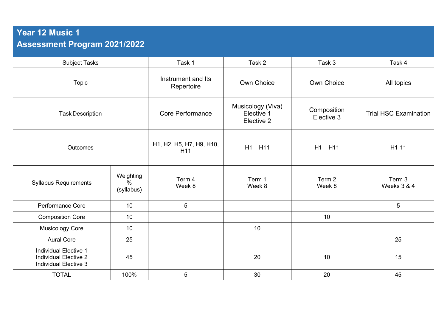## **Year 12 Music 1 Assessment Program 2021/2022**

| <b>Subject Tasks</b>                                                                         |                                          | Task 1                           | Task 2                                        | Task 3                    | Task 4                       |
|----------------------------------------------------------------------------------------------|------------------------------------------|----------------------------------|-----------------------------------------------|---------------------------|------------------------------|
| <b>Topic</b>                                                                                 |                                          | Instrument and Its<br>Repertoire | Own Choice                                    | Own Choice                | All topics                   |
| <b>Task Description</b>                                                                      |                                          | <b>Core Performance</b>          | Musicology (Viva)<br>Elective 1<br>Elective 2 | Composition<br>Elective 3 | <b>Trial HSC Examination</b> |
| Outcomes                                                                                     |                                          | H1, H2, H5, H7, H9, H10,<br>H11  | $H1 - H11$                                    | $H1 - H11$                | $H1-11$                      |
| <b>Syllabus Requirements</b>                                                                 | Weighting<br>$\frac{0}{0}$<br>(syllabus) | Term 4<br>Week 8                 | Term 1<br>Week 8                              | Term 2<br>Week 8          | Term 3<br>Weeks 3 & 4        |
| <b>Performance Core</b>                                                                      | 10                                       | 5                                |                                               |                           | 5                            |
| <b>Composition Core</b>                                                                      | 10                                       |                                  |                                               | 10                        |                              |
| <b>Musicology Core</b>                                                                       | 10                                       |                                  | 10                                            |                           |                              |
| <b>Aural Core</b>                                                                            | 25                                       |                                  |                                               |                           | 25                           |
| <b>Individual Elective 1</b><br><b>Individual Elective 2</b><br><b>Individual Elective 3</b> | 45                                       |                                  | 20                                            | 10                        | 15                           |
| <b>TOTAL</b>                                                                                 | 100%                                     | 5                                | 30                                            | 20                        | 45                           |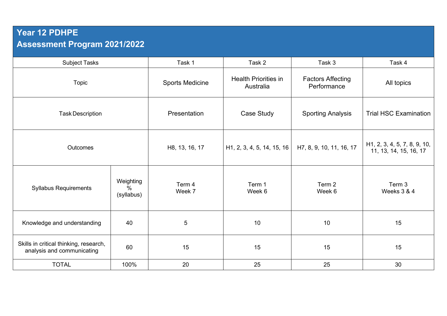## **Year 12 PDHPE Assessment Program 2021/2022**

| <b>Subject Tasks</b>                                                 |                                 | Task 1                 | Task 2                                   | Task 3                                  | Task 4                                                 |
|----------------------------------------------------------------------|---------------------------------|------------------------|------------------------------------------|-----------------------------------------|--------------------------------------------------------|
| <b>Topic</b>                                                         |                                 | <b>Sports Medicine</b> | <b>Health Priorities in</b><br>Australia | <b>Factors Affecting</b><br>Performance | All topics                                             |
| <b>Task Description</b>                                              |                                 | Presentation           | Case Study                               | <b>Sporting Analysis</b>                | <b>Trial HSC Examination</b>                           |
| <b>Outcomes</b>                                                      |                                 | H8, 13, 16, 17         | H <sub>1</sub> , 2, 3, 4, 5, 14, 15, 16  | H7, 8, 9, 10, 11, 16, 17                | H1, 2, 3, 4, 5, 7, 8, 9, 10,<br>11, 13, 14, 15, 16, 17 |
| <b>Syllabus Requirements</b>                                         | Weighting<br>$\%$<br>(syllabus) | Term 4<br>Week 7       | Term 1<br>Week 6                         | Term 2<br>Week 6                        | Term 3<br>Weeks 3 & 4                                  |
| Knowledge and understanding                                          | 40                              | 5                      | 10                                       | 10                                      | 15                                                     |
| Skills in critical thinking, research,<br>analysis and communicating | 60                              | 15                     | 15                                       | 15                                      | 15                                                     |
| <b>TOTAL</b>                                                         | 100%                            | 20                     | 25                                       | 25                                      | 30                                                     |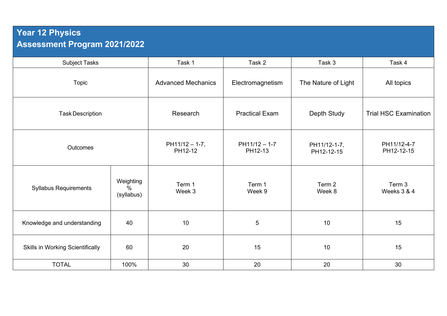## **Year 12 Physics Assessment Program 2021/2022**

| <b>Subject Tasks</b>                    |                                 | Task 1                      | Task 2                     | Task 3                     | Task 4                       |
|-----------------------------------------|---------------------------------|-----------------------------|----------------------------|----------------------------|------------------------------|
| <b>Topic</b>                            |                                 | <b>Advanced Mechanics</b>   | Electromagnetism           | The Nature of Light        | All topics                   |
| <b>Task Description</b>                 |                                 | Research                    | <b>Practical Exam</b>      | Depth Study                | <b>Trial HSC Examination</b> |
| Outcomes                                |                                 | $PH11/12 - 1-7,$<br>PH12-12 | $PH11/12 - 1-7$<br>PH12-13 | PH11/12-1-7,<br>PH12-12-15 | PH11/12-4-7<br>PH12-12-15    |
| <b>Syllabus Requirements</b>            | Weighting<br>$\%$<br>(syllabus) | Term 1<br>Week 3            | Term 1<br>Week 9           | Term 2<br>Week 8           | Term 3<br>Weeks 3 & 4        |
| Knowledge and understanding             | 40                              | 10                          | 5                          | 10                         | 15                           |
| <b>Skills in Working Scientifically</b> | 60                              | 20                          | 15                         | 10                         | 15                           |
| <b>TOTAL</b>                            | 100%                            | 30                          | 20                         | 20                         | 30                           |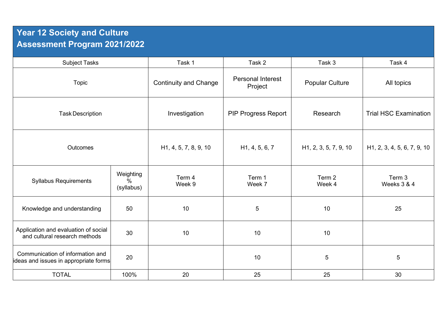## **Year 12 Society and Culture Assessment Program 2021/2022**

| <b>Subject Tasks</b>                                                      |                              | Task 1                             | Task 2                              | Task 3                             | Task 4                                   |
|---------------------------------------------------------------------------|------------------------------|------------------------------------|-------------------------------------|------------------------------------|------------------------------------------|
| Topic                                                                     |                              | <b>Continuity and Change</b>       | <b>Personal Interest</b><br>Project | <b>Popular Culture</b>             | All topics                               |
| <b>Task Description</b>                                                   |                              | Investigation                      | <b>PIP Progress Report</b>          | Research                           | <b>Trial HSC Examination</b>             |
| Outcomes                                                                  |                              | H <sub>1</sub> , 4, 5, 7, 8, 9, 10 | H <sub>1</sub> , 4, 5, 6, 7         | H <sub>1</sub> , 2, 3, 5, 7, 9, 10 | H <sub>1</sub> , 2, 3, 4, 5, 6, 7, 9, 10 |
| <b>Syllabus Requirements</b>                                              | Weighting<br>%<br>(syllabus) | Term 4<br>Week 9                   | Term 1<br>Week 7                    | Term 2<br>Week 4                   | Term 3<br>Weeks 3 & 4                    |
| Knowledge and understanding                                               | 50                           | 10                                 | 5                                   | 10                                 | 25                                       |
| Application and evaluation of social<br>and cultural research methods     | 30                           | 10                                 | 10                                  | $10$                               |                                          |
| Communication of information and<br>ideas and issues in appropriate forms | 20                           |                                    | 10                                  | 5                                  | $\overline{5}$                           |
| <b>TOTAL</b>                                                              | 100%                         | 20                                 | 25                                  | 25                                 | 30                                       |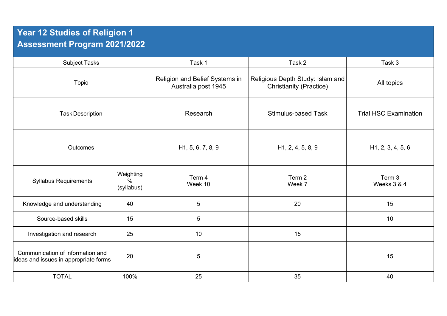## **Year 12 Studies of Religion 1 Assessment Program 2021/2022**

| <b>Subject Tasks</b>                                                      |                              | Task 1                                                | Task 2                                                             | Task 3                         |
|---------------------------------------------------------------------------|------------------------------|-------------------------------------------------------|--------------------------------------------------------------------|--------------------------------|
| <b>Topic</b>                                                              |                              | Religion and Belief Systems in<br>Australia post 1945 | Religious Depth Study: Islam and<br><b>Christianity (Practice)</b> | All topics                     |
| <b>Task Description</b>                                                   |                              | Research                                              | <b>Stimulus-based Task</b>                                         | <b>Trial HSC Examination</b>   |
| Outcomes                                                                  |                              | H <sub>1</sub> , 5, 6, 7, 8, 9                        | H <sub>1</sub> , 2, 4, 5, 8, 9                                     | H <sub>1</sub> , 2, 3, 4, 5, 6 |
| <b>Syllabus Requirements</b>                                              | Weighting<br>%<br>(syllabus) | Term 4<br>Week 10                                     | Term 2<br>Week 7                                                   | Term 3<br>Weeks 3 & 4          |
| Knowledge and understanding                                               | 40                           | 5                                                     | 20                                                                 | 15                             |
| Source-based skills                                                       | 15                           | 5                                                     |                                                                    | 10                             |
| Investigation and research                                                | 25                           | 10                                                    | 15                                                                 |                                |
| Communication of information and<br>ideas and issues in appropriate forms | 20                           | 5                                                     |                                                                    | 15                             |
| <b>TOTAL</b>                                                              | 100%                         | 25                                                    | 35                                                                 | 40                             |